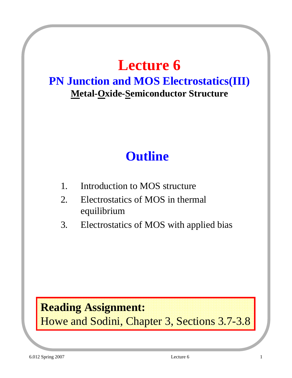## **Lecture 6**

#### **PN Junction and MOS Electrostatics(III) Metal-Oxide-Semiconductor Structure**

### **Outline**

- 1. Introduction to MOS structure
- 2. Electrostatics of MOS in thermal equilibrium
- 3. Electrostatics of MOS with applied bias

### **Reading Assignment:**

Howe and Sodini, Chapter 3, Sections 3.7-3.8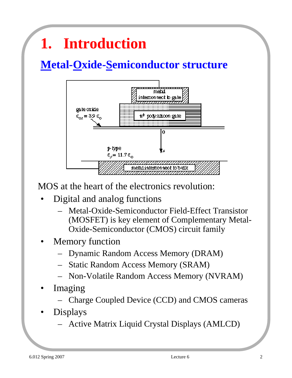# **1. Introduction**

### **Metal-Oxide-Semiconductor structure**



MOS at the heart of the electronics revolution:

- Digital and analog functions
	- Metal-Oxide-Semiconductor Field-Effect Transistor (MOSFET) is key element of Complementary Metal-Oxide-Semiconductor (CMOS) circuit family
- **Memory function** 
	- Dynamic Random Access Memory (DRAM)
	- Static Random Access Memory (SRAM)
	- Non-Volatile Random Access Memory (NVRAM)
- **Imaging** 
	- Charge Coupled Device (CCD) and CMOS cameras
- Displays
	- Active Matrix Liquid Crystal Displays (AMLCD)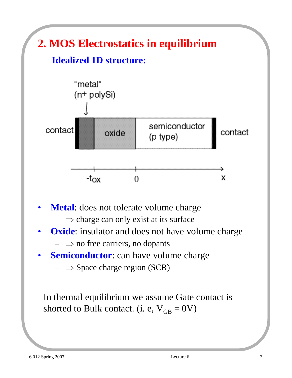

- **Metal**: does not tolerate volume charge
	- $\Rightarrow$  charge can only exist at its surface
- **Oxide:** insulator and does not have volume charge  $- \Rightarrow$  no free carriers, no dopants
- **Semiconductor**: can have volume charge
	- $\Rightarrow$  Space charge region (SCR)

In thermal equilibrium we assume Gate contact is shorted to Bulk contact. (i. e,  $V_{GB} = 0V$ )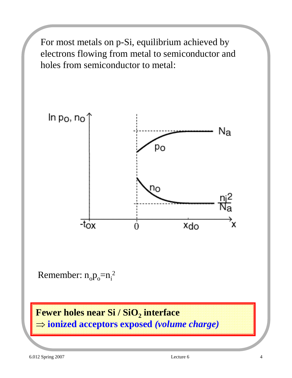For most metals on p-Si, equilibrium achieved by electrons flowing from metal to semiconductor and holes from semiconductor to metal:



Remember:  $n_o p_o = n_i^2$ 

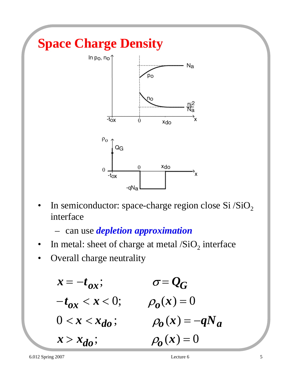

In semiconductor: space-charge region close Si  $/SiO<sub>2</sub>$ interface

– can use *depletion approximation*

- In metal: sheet of charge at metal  $/SiO<sub>2</sub>$  interface
- Overall charge neutrality

$$
x = -t_{ox}; \qquad \sigma = Q_G
$$
  
\n
$$
-t_{ox} < x < 0; \qquad \rho_o(x) = 0
$$
  
\n
$$
0 < x < x_{do}; \qquad \rho_o(x) = -qN_a
$$
  
\n
$$
x > x_{do}; \qquad \rho_o(x) = 0
$$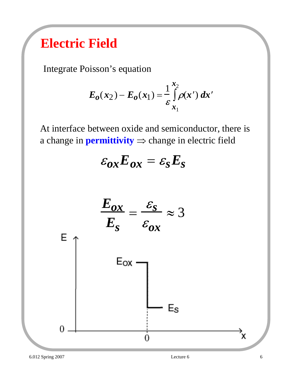### **Electric Field**

Integrate Poisson's equation

$$
E_0(x_2) - E_0(x_1) = \frac{1}{\varepsilon} \int_{x_1}^{x_2} \rho(x') dx'
$$

At interface between oxide and semiconductor, there is a change in **permittivity**  $\Rightarrow$  change in electric field

$$
\varepsilon_{ox} E_{ox} = \varepsilon_{S} E_{S}
$$

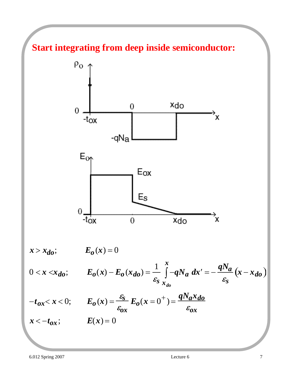#### **Start integrating from deep inside semiconductor:**



 $x > x_{do}$ ;  $E_o(x) = 0$ 

$$
0 < x < x_{do}; \t E_0(x) - E_0(x_{do}) = \frac{1}{\varepsilon_s} \int_{x_{do}}^x -qN_a \, dx' = -\frac{qN_a}{\varepsilon_s} (x - x_{do})
$$

$$
-t_{ox} < x < 0; \qquad E_o(x) = \frac{\varepsilon_s}{\varepsilon_{ox}} E_o(x = 0^+) = \frac{qN_a x_{do}}{\varepsilon_{ox}}
$$

 $x < -t_{ox}$ ;  $E(x) = 0$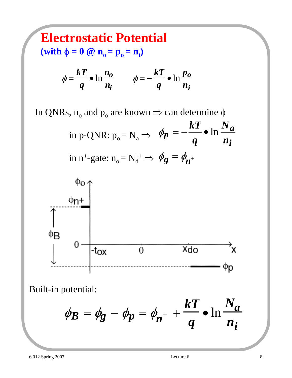## **Electrostatic Potential**

 $(\text{with } \phi = 0 \text{ } \textcircled{a} \text{ } \textbf{n}_0 = \textbf{p}_0 = \textbf{n}_i)$ 

$$
\phi = \frac{kT}{q} \cdot \ln \frac{n_o}{n_i} \qquad \phi = -\frac{kT}{q} \cdot \ln \frac{p_o}{n_i}
$$

In QNRs,  $n_0$  and  $p_0$  are known  $\Rightarrow$  can determine  $\phi$ 

in p-QNR: 
$$
p_o = N_a \Rightarrow \phi_p = -\frac{kT}{q} \cdot \ln \frac{N_a}{n_i}
$$
  
in n<sup>+</sup>-gate:  $n_o = N_d^+ \Rightarrow \phi_g = \phi_{n^+}$ 



Built-in potential:

$$
\phi_B = \phi_g - \phi_p = \phi_{n^+} + \frac{kT}{q} \cdot \ln \frac{N_a}{n_i}
$$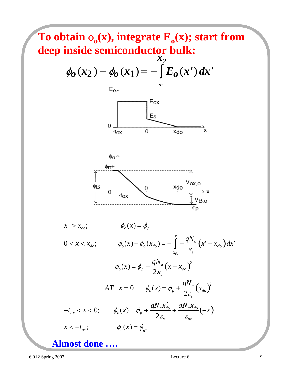

6.012 Spring 2007 Lecture 6 9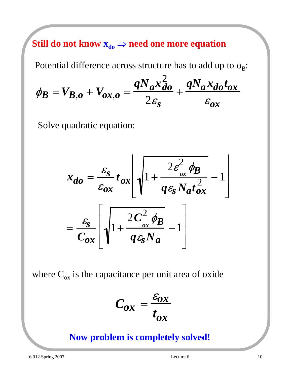Still do not know  $x_{do} \Rightarrow$  need one more equation

Potential difference across structure has to add up to  $\phi_B$ :

$$
\phi_B = V_{B,o} + V_{ox,o} = \frac{qN_a x_{do}^2}{2\varepsilon_s} + \frac{qN_a x_{do} t_{ox}}{\varepsilon_{ox}}
$$

Solve quadratic equation:

$$
x_{do} = \frac{\varepsilon_{S}}{\varepsilon_{ox}} t_{ox} \left[ \sqrt{1 + \frac{2\varepsilon_{ox}^{2} \phi_{B}}{q\varepsilon_{S} N_{a} t_{ox}^{2}}} - 1 \right]
$$

$$
= \frac{\varepsilon_{S}}{C_{ox}} \left[ \sqrt{1 + \frac{2C_{ox}^{2} \phi_{B}}{q\varepsilon_{S} N_{a}} - 1} \right]
$$

where  $C_{ox}$  is the capacitance per unit area of oxide

$$
C_{ox} = \frac{\varepsilon_{ox}}{t_{ox}}
$$

#### **Now problem is completely solved!**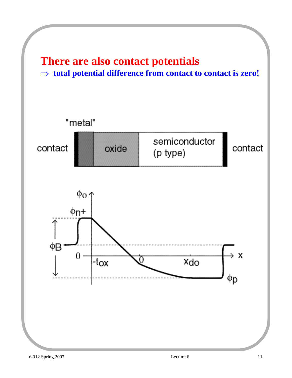## **There are also contact potentials**

#### ⇒ **total potential difference from contact to contact is zero!**

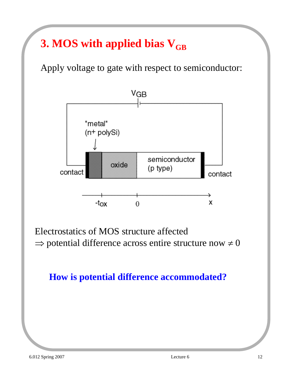### **3. MOS with applied bias V<sub>GB</sub>**

Apply voltage to gate with respect to semiconductor:



Electrostatics of MOS structure affected  $\Rightarrow$  potential difference across entire structure now  $\neq 0$ 

#### **How is potential difference accommodated?**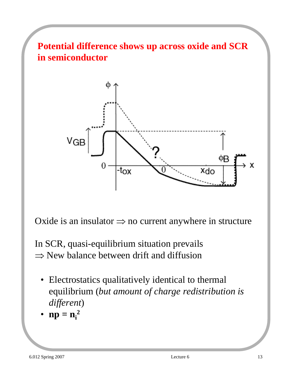**Potential difference shows up across oxide and SCR in semiconductor**



Oxide is an insulator  $\Rightarrow$  no current anywhere in structure

In SCR, quasi-equilibrium situation prevails  $\Rightarrow$  New balance between drift and diffusion

- Electrostatics qualitatively identical to thermal equilibrium (*but amount of charge redistribution is different*)
- $np = n_i^2$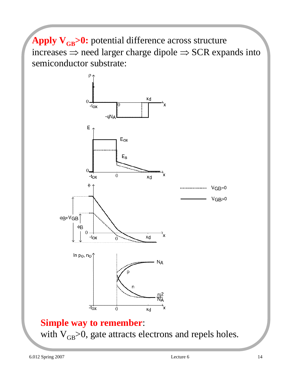Apply V<sub>GB</sub>>0: potential difference across structure increases  $\Rightarrow$  need larger charge dipole  $\Rightarrow$  SCR expands into semiconductor substrate:



with  $V_{GB}$  $> 0$ , gate attracts electrons and repels holes.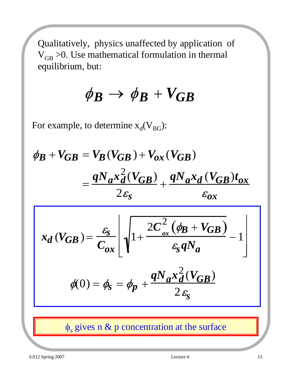Qualitatively, physics unaffected by application of  $V_{GB}$  >0. Use mathematical formulation in thermal equilibrium, but:

$$
\phi_B \rightarrow \phi_B + V_{GB}
$$

For example, to determine  $x_d(V_{BG})$ :

$$
\phi_B + V_{GB} = V_B (V_{GB}) + V_{ox} (V_{GB})
$$
\n
$$
= \frac{qN_a x_d^2 (V_{GB})}{2\varepsilon_s} + \frac{qN_a x_d (V_{GB}) t_{ox}}{\varepsilon_{ox}}
$$
\n
$$
x_d (V_{GB}) = \frac{\varepsilon_s}{C_{ox}} \left[ \sqrt{1 + \frac{2C_{ox}^2 (\phi_B + V_{GB})}{\varepsilon_s q N_a}} - 1 \right]
$$
\n
$$
\phi(0) = \phi_s = \phi_p + \frac{qN_a x_d^2 (V_{GB})}{2\varepsilon_s}
$$

 $\phi_s$  gives n & p concentration at the surface